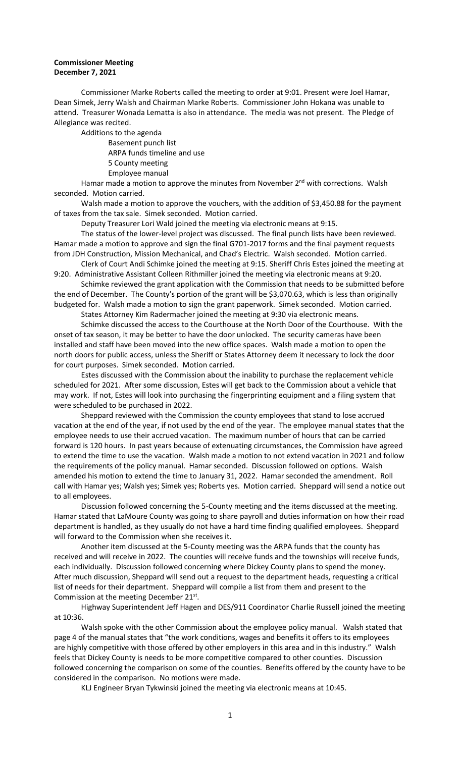## **Commissioner Meeting December 7, 2021**

Commissioner Marke Roberts called the meeting to order at 9:01. Present were Joel Hamar, Dean Simek, Jerry Walsh and Chairman Marke Roberts. Commissioner John Hokana was unable to attend. Treasurer Wonada Lematta is also in attendance. The media was not present. The Pledge of Allegiance was recited.

Additions to the agenda

Basement punch list

ARPA funds timeline and use

5 County meeting

Employee manual

Hamar made a motion to approve the minutes from November  $2<sup>nd</sup>$  with corrections. Walsh seconded. Motion carried.

Walsh made a motion to approve the vouchers, with the addition of \$3,450.88 for the payment of taxes from the tax sale. Simek seconded. Motion carried.

Deputy Treasurer Lori Wald joined the meeting via electronic means at 9:15.

The status of the lower-level project was discussed. The final punch lists have been reviewed. Hamar made a motion to approve and sign the final G701-2017 forms and the final payment requests from JDH Construction, Mission Mechanical, and Chad's Electric. Walsh seconded. Motion carried.

Clerk of Court Andi Schimke joined the meeting at 9:15. Sheriff Chris Estes joined the meeting at 9:20. Administrative Assistant Colleen Rithmiller joined the meeting via electronic means at 9:20.

Schimke reviewed the grant application with the Commission that needs to be submitted before the end of December. The County's portion of the grant will be \$3,070.63, which is less than originally budgeted for. Walsh made a motion to sign the grant paperwork. Simek seconded. Motion carried.

States Attorney Kim Radermacher joined the meeting at 9:30 via electronic means.

Schimke discussed the access to the Courthouse at the North Door of the Courthouse. With the onset of tax season, it may be better to have the door unlocked. The security cameras have been installed and staff have been moved into the new office spaces. Walsh made a motion to open the north doors for public access, unless the Sheriff or States Attorney deem it necessary to lock the door for court purposes. Simek seconded. Motion carried.

Estes discussed with the Commission about the inability to purchase the replacement vehicle scheduled for 2021. After some discussion, Estes will get back to the Commission about a vehicle that may work. If not, Estes will look into purchasing the fingerprinting equipment and a filing system that were scheduled to be purchased in 2022.

Sheppard reviewed with the Commission the county employees that stand to lose accrued vacation at the end of the year, if not used by the end of the year. The employee manual states that the employee needs to use their accrued vacation. The maximum number of hours that can be carried forward is 120 hours. In past years because of extenuating circumstances, the Commission have agreed to extend the time to use the vacation. Walsh made a motion to not extend vacation in 2021 and follow the requirements of the policy manual. Hamar seconded. Discussion followed on options. Walsh amended his motion to extend the time to January 31, 2022. Hamar seconded the amendment. Roll call with Hamar yes; Walsh yes; Simek yes; Roberts yes. Motion carried. Sheppard will send a notice out to all employees.

Discussion followed concerning the 5-County meeting and the items discussed at the meeting. Hamar stated that LaMoure County was going to share payroll and duties information on how their road department is handled, as they usually do not have a hard time finding qualified employees. Sheppard will forward to the Commission when she receives it.

Another item discussed at the 5-County meeting was the ARPA funds that the county has received and will receive in 2022. The counties will receive funds and the townships will receive funds, each individually. Discussion followed concerning where Dickey County plans to spend the money. After much discussion, Sheppard will send out a request to the department heads, requesting a critical list of needs for their department. Sheppard will compile a list from them and present to the Commission at the meeting December 21<sup>st</sup>.

Highway Superintendent Jeff Hagen and DES/911 Coordinator Charlie Russell joined the meeting at 10:36.

Walsh spoke with the other Commission about the employee policy manual. Walsh stated that page 4 of the manual states that "the work conditions, wages and benefits it offers to its employees are highly competitive with those offered by other employers in this area and in this industry." Walsh feels that Dickey County is needs to be more competitive compared to other counties. Discussion followed concerning the comparison on some of the counties. Benefits offered by the county have to be considered in the comparison. No motions were made.

KLJ Engineer Bryan Tykwinski joined the meeting via electronic means at 10:45.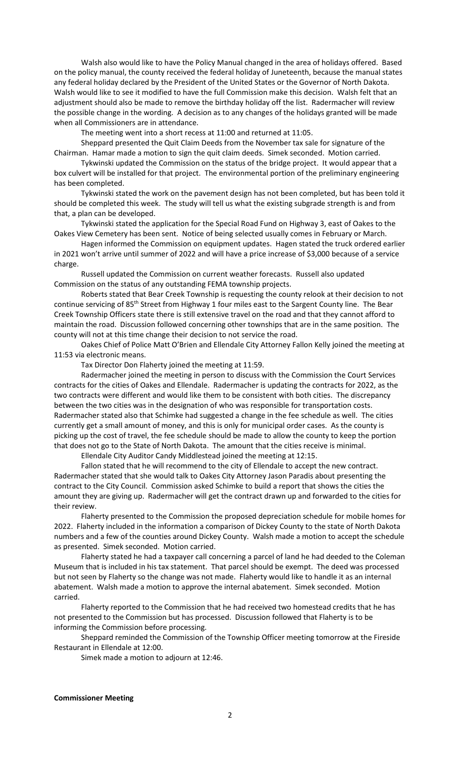Walsh also would like to have the Policy Manual changed in the area of holidays offered. Based on the policy manual, the county received the federal holiday of Juneteenth, because the manual states any federal holiday declared by the President of the United States or the Governor of North Dakota. Walsh would like to see it modified to have the full Commission make this decision. Walsh felt that an adjustment should also be made to remove the birthday holiday off the list. Radermacher will review the possible change in the wording. A decision as to any changes of the holidays granted will be made when all Commissioners are in attendance.

The meeting went into a short recess at 11:00 and returned at 11:05.

Sheppard presented the Quit Claim Deeds from the November tax sale for signature of the Chairman. Hamar made a motion to sign the quit claim deeds. Simek seconded. Motion carried.

Tykwinski updated the Commission on the status of the bridge project. It would appear that a box culvert will be installed for that project. The environmental portion of the preliminary engineering has been completed.

Tykwinski stated the work on the pavement design has not been completed, but has been told it should be completed this week. The study will tell us what the existing subgrade strength is and from that, a plan can be developed.

Tykwinski stated the application for the Special Road Fund on Highway 3, east of Oakes to the Oakes View Cemetery has been sent. Notice of being selected usually comes in February or March.

Hagen informed the Commission on equipment updates. Hagen stated the truck ordered earlier in 2021 won't arrive until summer of 2022 and will have a price increase of \$3,000 because of a service charge.

Russell updated the Commission on current weather forecasts. Russell also updated Commission on the status of any outstanding FEMA township projects.

Roberts stated that Bear Creek Township is requesting the county relook at their decision to not continue servicing of 85<sup>th</sup> Street from Highway 1 four miles east to the Sargent County line. The Bear Creek Township Officers state there is still extensive travel on the road and that they cannot afford to maintain the road. Discussion followed concerning other townships that are in the same position. The county will not at this time change their decision to not service the road.

Oakes Chief of Police Matt O'Brien and Ellendale City Attorney Fallon Kelly joined the meeting at 11:53 via electronic means.

Tax Director Don Flaherty joined the meeting at 11:59.

Radermacher joined the meeting in person to discuss with the Commission the Court Services contracts for the cities of Oakes and Ellendale. Radermacher is updating the contracts for 2022, as the two contracts were different and would like them to be consistent with both cities. The discrepancy between the two cities was in the designation of who was responsible for transportation costs. Radermacher stated also that Schimke had suggested a change in the fee schedule as well. The cities currently get a small amount of money, and this is only for municipal order cases. As the county is picking up the cost of travel, the fee schedule should be made to allow the county to keep the portion that does not go to the State of North Dakota. The amount that the cities receive is minimal.

Ellendale City Auditor Candy Middlestead joined the meeting at 12:15.

Fallon stated that he will recommend to the city of Ellendale to accept the new contract. Radermacher stated that she would talk to Oakes City Attorney Jason Paradis about presenting the contract to the City Council. Commission asked Schimke to build a report that shows the cities the amount they are giving up. Radermacher will get the contract drawn up and forwarded to the cities for their review.

Flaherty presented to the Commission the proposed depreciation schedule for mobile homes for 2022. Flaherty included in the information a comparison of Dickey County to the state of North Dakota numbers and a few of the counties around Dickey County. Walsh made a motion to accept the schedule as presented. Simek seconded. Motion carried.

Flaherty stated he had a taxpayer call concerning a parcel of land he had deeded to the Coleman Museum that is included in his tax statement. That parcel should be exempt. The deed was processed but not seen by Flaherty so the change was not made. Flaherty would like to handle it as an internal abatement. Walsh made a motion to approve the internal abatement. Simek seconded. Motion carried.

Flaherty reported to the Commission that he had received two homestead credits that he has not presented to the Commission but has processed. Discussion followed that Flaherty is to be informing the Commission before processing.

Sheppard reminded the Commission of the Township Officer meeting tomorrow at the Fireside Restaurant in Ellendale at 12:00.

Simek made a motion to adjourn at 12:46.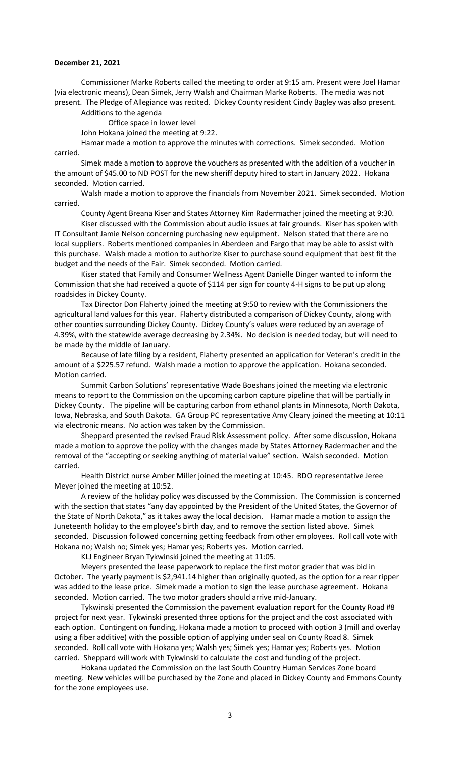## **December 21, 2021**

Commissioner Marke Roberts called the meeting to order at 9:15 am. Present were Joel Hamar (via electronic means), Dean Simek, Jerry Walsh and Chairman Marke Roberts. The media was not present. The Pledge of Allegiance was recited. Dickey County resident Cindy Bagley was also present.

Additions to the agenda

Office space in lower level

John Hokana joined the meeting at 9:22.

Hamar made a motion to approve the minutes with corrections. Simek seconded. Motion carried.

Simek made a motion to approve the vouchers as presented with the addition of a voucher in the amount of \$45.00 to ND POST for the new sheriff deputy hired to start in January 2022. Hokana seconded. Motion carried.

Walsh made a motion to approve the financials from November 2021. Simek seconded. Motion carried.

County Agent Breana Kiser and States Attorney Kim Radermacher joined the meeting at 9:30.

Kiser discussed with the Commission about audio issues at fair grounds. Kiser has spoken with IT Consultant Jamie Nelson concerning purchasing new equipment. Nelson stated that there are no local suppliers. Roberts mentioned companies in Aberdeen and Fargo that may be able to assist with this purchase. Walsh made a motion to authorize Kiser to purchase sound equipment that best fit the budget and the needs of the Fair. Simek seconded. Motion carried.

Kiser stated that Family and Consumer Wellness Agent Danielle Dinger wanted to inform the Commission that she had received a quote of \$114 per sign for county 4-H signs to be put up along roadsides in Dickey County.

Tax Director Don Flaherty joined the meeting at 9:50 to review with the Commissioners the agricultural land values for this year. Flaherty distributed a comparison of Dickey County, along with other counties surrounding Dickey County. Dickey County's values were reduced by an average of 4.39%, with the statewide average decreasing by 2.34%. No decision is needed today, but will need to be made by the middle of January.

Because of late filing by a resident, Flaherty presented an application for Veteran's credit in the amount of a \$225.57 refund. Walsh made a motion to approve the application. Hokana seconded. Motion carried.

Summit Carbon Solutions' representative Wade Boeshans joined the meeting via electronic means to report to the Commission on the upcoming carbon capture pipeline that will be partially in Dickey County. The pipeline will be capturing carbon from ethanol plants in Minnesota, North Dakota, Iowa, Nebraska, and South Dakota. GA Group PC representative Amy Cleary joined the meeting at 10:11 via electronic means. No action was taken by the Commission.

Sheppard presented the revised Fraud Risk Assessment policy. After some discussion, Hokana made a motion to approve the policy with the changes made by States Attorney Radermacher and the removal of the "accepting or seeking anything of material value" section. Walsh seconded. Motion carried.

Health District nurse Amber Miller joined the meeting at 10:45. RDO representative Jeree Meyer joined the meeting at 10:52.

A review of the holiday policy was discussed by the Commission. The Commission is concerned with the section that states "any day appointed by the President of the United States, the Governor of the State of North Dakota," as it takes away the local decision. Hamar made a motion to assign the Juneteenth holiday to the employee's birth day, and to remove the section listed above. Simek seconded. Discussion followed concerning getting feedback from other employees. Roll call vote with Hokana no; Walsh no; Simek yes; Hamar yes; Roberts yes. Motion carried.

KLJ Engineer Bryan Tykwinski joined the meeting at 11:05.

Meyers presented the lease paperwork to replace the first motor grader that was bid in October. The yearly payment is \$2,941.14 higher than originally quoted, as the option for a rear ripper was added to the lease price. Simek made a motion to sign the lease purchase agreement. Hokana seconded. Motion carried. The two motor graders should arrive mid-January.

Tykwinski presented the Commission the pavement evaluation report for the County Road #8 project for next year. Tykwinski presented three options for the project and the cost associated with each option. Contingent on funding, Hokana made a motion to proceed with option 3 (mill and overlay using a fiber additive) with the possible option of applying under seal on County Road 8. Simek seconded. Roll call vote with Hokana yes; Walsh yes; Simek yes; Hamar yes; Roberts yes. Motion carried. Sheppard will work with Tykwinski to calculate the cost and funding of the project.

Hokana updated the Commission on the last South Country Human Services Zone board meeting. New vehicles will be purchased by the Zone and placed in Dickey County and Emmons County for the zone employees use.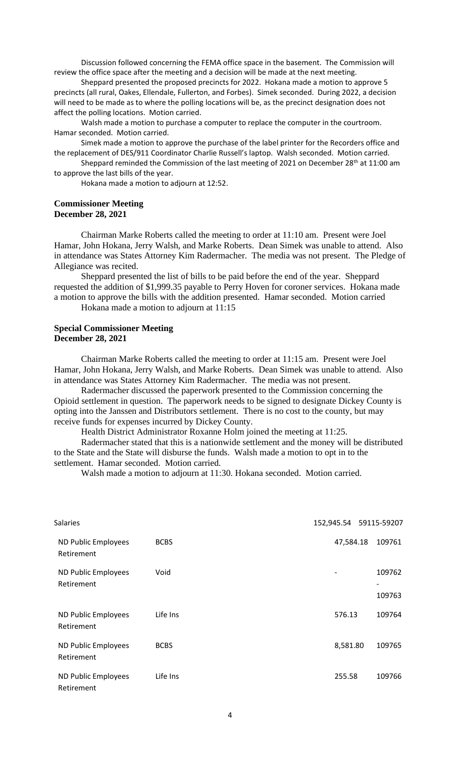Discussion followed concerning the FEMA office space in the basement. The Commission will review the office space after the meeting and a decision will be made at the next meeting.

Sheppard presented the proposed precincts for 2022. Hokana made a motion to approve 5 precincts (all rural, Oakes, Ellendale, Fullerton, and Forbes). Simek seconded. During 2022, a decision will need to be made as to where the polling locations will be, as the precinct designation does not affect the polling locations. Motion carried.

Walsh made a motion to purchase a computer to replace the computer in the courtroom. Hamar seconded. Motion carried.

Simek made a motion to approve the purchase of the label printer for the Recorders office and the replacement of DES/911 Coordinator Charlie Russell's laptop. Walsh seconded. Motion carried.

Sheppard reminded the Commission of the last meeting of 2021 on December 28<sup>th</sup> at 11:00 am to approve the last bills of the year.

Hokana made a motion to adjourn at 12:52.

## **Commissioner Meeting December 28, 2021**

Chairman Marke Roberts called the meeting to order at 11:10 am. Present were Joel Hamar, John Hokana, Jerry Walsh, and Marke Roberts. Dean Simek was unable to attend. Also in attendance was States Attorney Kim Radermacher. The media was not present. The Pledge of Allegiance was recited.

Sheppard presented the list of bills to be paid before the end of the year. Sheppard requested the addition of \$1,999.35 payable to Perry Hoven for coroner services. Hokana made a motion to approve the bills with the addition presented. Hamar seconded. Motion carried

Hokana made a motion to adjourn at 11:15

## **Special Commissioner Meeting December 28, 2021**

Chairman Marke Roberts called the meeting to order at 11:15 am. Present were Joel Hamar, John Hokana, Jerry Walsh, and Marke Roberts. Dean Simek was unable to attend. Also in attendance was States Attorney Kim Radermacher. The media was not present.

Radermacher discussed the paperwork presented to the Commission concerning the Opioid settlement in question. The paperwork needs to be signed to designate Dickey County is opting into the Janssen and Distributors settlement. There is no cost to the county, but may receive funds for expenses incurred by Dickey County.

Health District Administrator Roxanne Holm joined the meeting at 11:25.

Radermacher stated that this is a nationwide settlement and the money will be distributed to the State and the State will disburse the funds. Walsh made a motion to opt in to the settlement. Hamar seconded. Motion carried.

Walsh made a motion to adjourn at 11:30. Hokana seconded. Motion carried.

| <b>Salaries</b>                   |             | 152,945.54    59115-59207 |                                              |
|-----------------------------------|-------------|---------------------------|----------------------------------------------|
| ND Public Employees<br>Retirement | <b>BCBS</b> | 47,584.18                 | 109761                                       |
| ND Public Employees<br>Retirement | Void        | $\overline{\phantom{a}}$  | 109762<br>$\overline{\phantom{a}}$<br>109763 |
| ND Public Employees<br>Retirement | Life Ins    | 576.13                    | 109764                                       |
| ND Public Employees<br>Retirement | <b>BCBS</b> | 8,581.80                  | 109765                                       |
| ND Public Employees<br>Retirement | Life Ins    | 255.58                    | 109766                                       |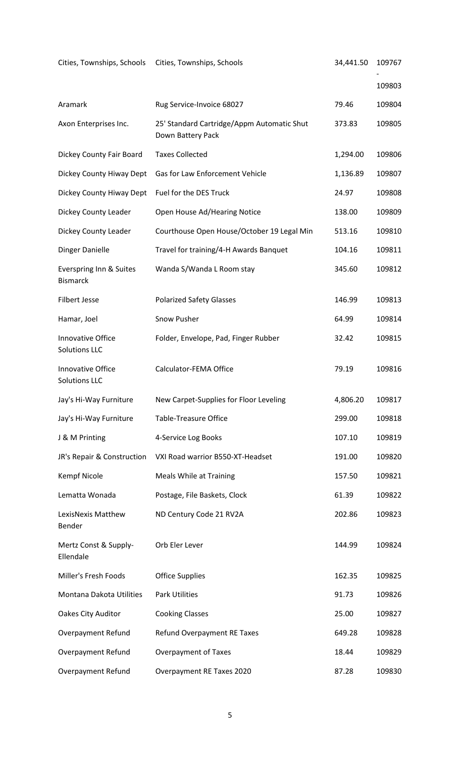| Cities, Townships, Schools Cities, Townships, Schools |                                                                 | 34,441.50 | 109767 |
|-------------------------------------------------------|-----------------------------------------------------------------|-----------|--------|
|                                                       |                                                                 |           | 109803 |
| Aramark                                               | Rug Service-Invoice 68027                                       | 79.46     | 109804 |
| Axon Enterprises Inc.                                 | 25' Standard Cartridge/Appm Automatic Shut<br>Down Battery Pack | 373.83    | 109805 |
| Dickey County Fair Board                              | <b>Taxes Collected</b>                                          | 1,294.00  | 109806 |
| Dickey County Hiway Dept                              | Gas for Law Enforcement Vehicle                                 | 1,136.89  | 109807 |
| Dickey County Hiway Dept                              | Fuel for the DES Truck                                          | 24.97     | 109808 |
| Dickey County Leader                                  | Open House Ad/Hearing Notice                                    | 138.00    | 109809 |
| Dickey County Leader                                  | Courthouse Open House/October 19 Legal Min                      | 513.16    | 109810 |
| Dinger Danielle                                       | Travel for training/4-H Awards Banquet                          | 104.16    | 109811 |
| Everspring Inn & Suites<br><b>Bismarck</b>            | Wanda S/Wanda L Room stay                                       | 345.60    | 109812 |
| <b>Filbert Jesse</b>                                  | <b>Polarized Safety Glasses</b>                                 | 146.99    | 109813 |
| Hamar, Joel                                           | Snow Pusher                                                     | 64.99     | 109814 |
| Innovative Office<br><b>Solutions LLC</b>             | Folder, Envelope, Pad, Finger Rubber                            | 32.42     | 109815 |
| <b>Innovative Office</b><br><b>Solutions LLC</b>      | Calculator-FEMA Office                                          | 79.19     | 109816 |
| Jay's Hi-Way Furniture                                | New Carpet-Supplies for Floor Leveling                          | 4,806.20  | 109817 |
| Jay's Hi-Way Furniture                                | <b>Table-Treasure Office</b>                                    | 299.00    | 109818 |
| J & M Printing                                        | 4-Service Log Books                                             | 107.10    | 109819 |
| JR's Repair & Construction                            | VXI Road warrior B550-XT-Headset                                | 191.00    | 109820 |
| Kempf Nicole                                          | <b>Meals While at Training</b>                                  | 157.50    | 109821 |
| Lematta Wonada                                        | Postage, File Baskets, Clock                                    | 61.39     | 109822 |
| LexisNexis Matthew<br>Bender                          | ND Century Code 21 RV2A                                         | 202.86    | 109823 |
| Mertz Const & Supply-<br>Ellendale                    | Orb Eler Lever                                                  | 144.99    | 109824 |
| Miller's Fresh Foods                                  | <b>Office Supplies</b>                                          | 162.35    | 109825 |
| Montana Dakota Utilities                              | <b>Park Utilities</b>                                           | 91.73     | 109826 |
| Oakes City Auditor                                    | <b>Cooking Classes</b>                                          | 25.00     | 109827 |
| <b>Overpayment Refund</b>                             | Refund Overpayment RE Taxes                                     | 649.28    | 109828 |
| <b>Overpayment Refund</b>                             | <b>Overpayment of Taxes</b>                                     | 18.44     | 109829 |
| <b>Overpayment Refund</b>                             | Overpayment RE Taxes 2020                                       | 87.28     | 109830 |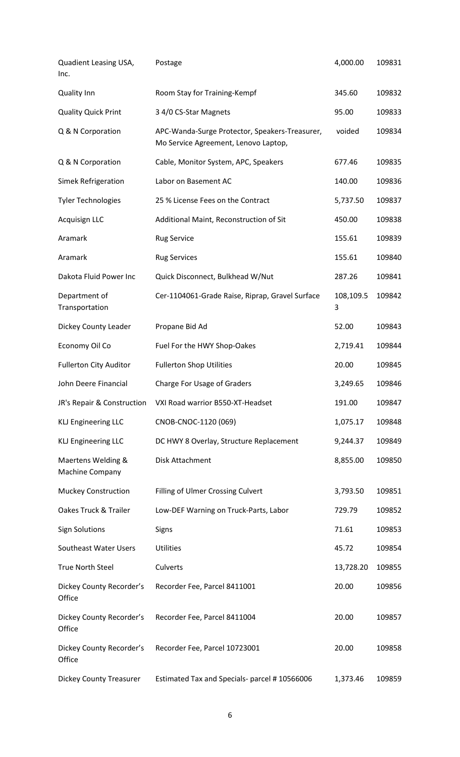| Quadient Leasing USA,<br>Inc.         | Postage                                                                                | 4,000.00       | 109831 |
|---------------------------------------|----------------------------------------------------------------------------------------|----------------|--------|
| <b>Quality Inn</b>                    | Room Stay for Training-Kempf                                                           | 345.60         | 109832 |
| <b>Quality Quick Print</b>            | 3 4/0 CS-Star Magnets                                                                  | 95.00          | 109833 |
| Q & N Corporation                     | APC-Wanda-Surge Protector, Speakers-Treasurer,<br>Mo Service Agreement, Lenovo Laptop, | voided         | 109834 |
| Q & N Corporation                     | Cable, Monitor System, APC, Speakers                                                   | 677.46         | 109835 |
| Simek Refrigeration                   | Labor on Basement AC                                                                   | 140.00         | 109836 |
| <b>Tyler Technologies</b>             | 25 % License Fees on the Contract                                                      | 5,737.50       | 109837 |
| Acquisign LLC                         | Additional Maint, Reconstruction of Sit                                                | 450.00         | 109838 |
| Aramark                               | <b>Rug Service</b>                                                                     | 155.61         | 109839 |
| Aramark                               | <b>Rug Services</b>                                                                    | 155.61         | 109840 |
| Dakota Fluid Power Inc                | Quick Disconnect, Bulkhead W/Nut                                                       | 287.26         | 109841 |
| Department of<br>Transportation       | Cer-1104061-Grade Raise, Riprap, Gravel Surface                                        | 108,109.5<br>3 | 109842 |
| Dickey County Leader                  | Propane Bid Ad                                                                         | 52.00          | 109843 |
| Economy Oil Co                        | Fuel For the HWY Shop-Oakes                                                            | 2,719.41       | 109844 |
| <b>Fullerton City Auditor</b>         | <b>Fullerton Shop Utilities</b>                                                        | 20.00          | 109845 |
| John Deere Financial                  | Charge For Usage of Graders                                                            | 3,249.65       | 109846 |
| JR's Repair & Construction            | VXI Road warrior B550-XT-Headset                                                       | 191.00         | 109847 |
| <b>KLJ Engineering LLC</b>            | CNOB-CNOC-1120 (069)                                                                   | 1,075.17       | 109848 |
| <b>KLJ Engineering LLC</b>            | DC HWY 8 Overlay, Structure Replacement                                                | 9,244.37       | 109849 |
| Maertens Welding &<br>Machine Company | Disk Attachment                                                                        | 8,855.00       | 109850 |
| <b>Muckey Construction</b>            | Filling of Ulmer Crossing Culvert                                                      | 3,793.50       | 109851 |
| Oakes Truck & Trailer                 | Low-DEF Warning on Truck-Parts, Labor                                                  | 729.79         | 109852 |
| <b>Sign Solutions</b>                 | Signs                                                                                  | 71.61          | 109853 |
| Southeast Water Users                 | <b>Utilities</b>                                                                       | 45.72          | 109854 |
| <b>True North Steel</b>               | Culverts                                                                               | 13,728.20      | 109855 |
| Dickey County Recorder's<br>Office    | Recorder Fee, Parcel 8411001                                                           | 20.00          | 109856 |
| Dickey County Recorder's<br>Office    | Recorder Fee, Parcel 8411004                                                           | 20.00          | 109857 |
| Dickey County Recorder's<br>Office    | Recorder Fee, Parcel 10723001                                                          | 20.00          | 109858 |
| <b>Dickey County Treasurer</b>        | Estimated Tax and Specials- parcel # 10566006                                          | 1,373.46       | 109859 |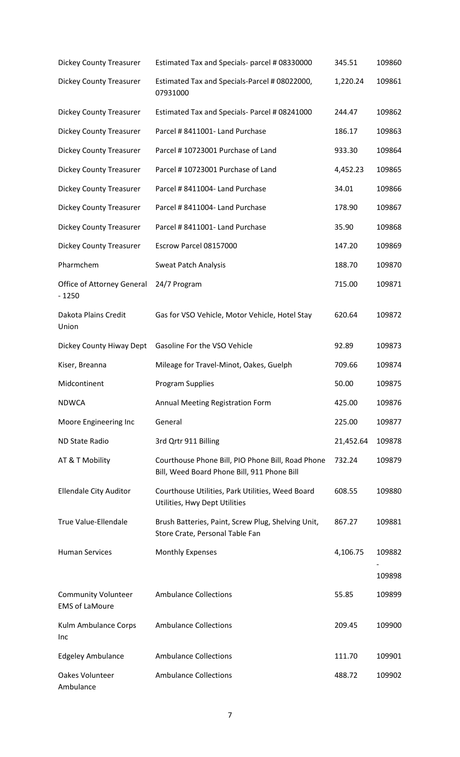| <b>Dickey County Treasurer</b>                      | Estimated Tax and Specials- parcel # 08330000                                                    | 345.51    | 109860 |
|-----------------------------------------------------|--------------------------------------------------------------------------------------------------|-----------|--------|
| <b>Dickey County Treasurer</b>                      | Estimated Tax and Specials-Parcel # 08022000,<br>07931000                                        | 1,220.24  | 109861 |
| <b>Dickey County Treasurer</b>                      | Estimated Tax and Specials- Parcel # 08241000                                                    | 244.47    | 109862 |
| <b>Dickey County Treasurer</b>                      | Parcel # 8411001- Land Purchase                                                                  | 186.17    | 109863 |
| <b>Dickey County Treasurer</b>                      | Parcel #10723001 Purchase of Land                                                                | 933.30    | 109864 |
| <b>Dickey County Treasurer</b>                      | Parcel #10723001 Purchase of Land                                                                | 4,452.23  | 109865 |
| <b>Dickey County Treasurer</b>                      | Parcel # 8411004- Land Purchase                                                                  | 34.01     | 109866 |
| <b>Dickey County Treasurer</b>                      | Parcel # 8411004- Land Purchase                                                                  | 178.90    | 109867 |
| <b>Dickey County Treasurer</b>                      | Parcel # 8411001- Land Purchase                                                                  | 35.90     | 109868 |
| <b>Dickey County Treasurer</b>                      | Escrow Parcel 08157000                                                                           | 147.20    | 109869 |
| Pharmchem                                           | <b>Sweat Patch Analysis</b>                                                                      | 188.70    | 109870 |
| Office of Attorney General<br>$-1250$               | 24/7 Program                                                                                     | 715.00    | 109871 |
| Dakota Plains Credit<br>Union                       | Gas for VSO Vehicle, Motor Vehicle, Hotel Stay                                                   | 620.64    | 109872 |
| Dickey County Hiway Dept                            | Gasoline For the VSO Vehicle                                                                     | 92.89     | 109873 |
| Kiser, Breanna                                      | Mileage for Travel-Minot, Oakes, Guelph                                                          | 709.66    | 109874 |
| Midcontinent                                        | Program Supplies                                                                                 | 50.00     | 109875 |
| <b>NDWCA</b>                                        | Annual Meeting Registration Form                                                                 | 425.00    | 109876 |
| Moore Engineering Inc                               | General                                                                                          | 225.00    | 109877 |
| ND State Radio                                      | 3rd Qrtr 911 Billing                                                                             | 21,452.64 | 109878 |
| AT & T Mobility                                     | Courthouse Phone Bill, PIO Phone Bill, Road Phone<br>Bill, Weed Board Phone Bill, 911 Phone Bill | 732.24    | 109879 |
| <b>Ellendale City Auditor</b>                       | Courthouse Utilities, Park Utilities, Weed Board<br>Utilities, Hwy Dept Utilities                | 608.55    | 109880 |
| True Value-Ellendale                                | Brush Batteries, Paint, Screw Plug, Shelving Unit,<br>Store Crate, Personal Table Fan            | 867.27    | 109881 |
| <b>Human Services</b>                               | <b>Monthly Expenses</b>                                                                          | 4,106.75  | 109882 |
|                                                     |                                                                                                  |           | 109898 |
| <b>Community Volunteer</b><br><b>EMS of LaMoure</b> | <b>Ambulance Collections</b>                                                                     | 55.85     | 109899 |
| Kulm Ambulance Corps<br>Inc                         | <b>Ambulance Collections</b>                                                                     | 209.45    | 109900 |
| <b>Edgeley Ambulance</b>                            | <b>Ambulance Collections</b>                                                                     | 111.70    | 109901 |
| Oakes Volunteer<br>Ambulance                        | <b>Ambulance Collections</b>                                                                     | 488.72    | 109902 |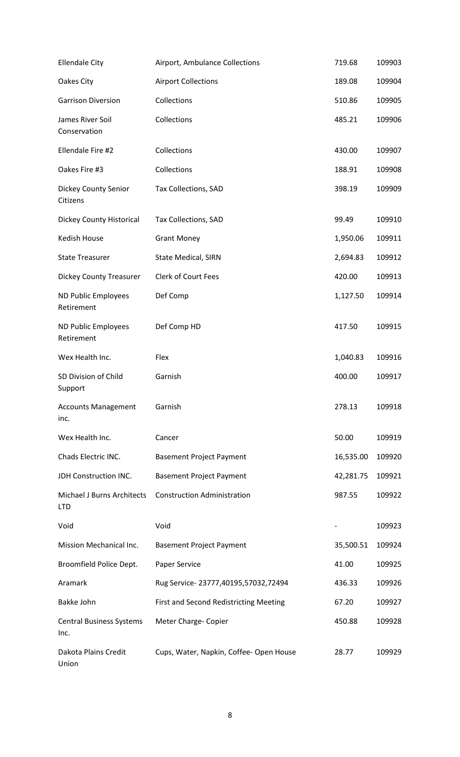| <b>Ellendale City</b>                           | Airport, Ambulance Collections          | 719.68    | 109903 |
|-------------------------------------------------|-----------------------------------------|-----------|--------|
| Oakes City                                      | <b>Airport Collections</b>              | 189.08    | 109904 |
| <b>Garrison Diversion</b>                       | Collections                             | 510.86    | 109905 |
| James River Soil<br>Conservation                | Collections                             | 485.21    | 109906 |
| Ellendale Fire #2                               | Collections                             | 430.00    | 109907 |
| Oakes Fire #3                                   | Collections                             | 188.91    | 109908 |
| Dickey County Senior<br>Citizens                | Tax Collections, SAD                    | 398.19    | 109909 |
| <b>Dickey County Historical</b>                 | Tax Collections, SAD                    | 99.49     | 109910 |
| Kedish House                                    | <b>Grant Money</b>                      | 1,950.06  | 109911 |
| <b>State Treasurer</b>                          | <b>State Medical, SIRN</b>              | 2,694.83  | 109912 |
| <b>Dickey County Treasurer</b>                  | <b>Clerk of Court Fees</b>              | 420.00    | 109913 |
| ND Public Employees<br>Retirement               | Def Comp                                | 1,127.50  | 109914 |
| ND Public Employees<br>Retirement               | Def Comp HD                             | 417.50    | 109915 |
| Wex Health Inc.                                 | Flex                                    | 1,040.83  | 109916 |
| SD Division of Child<br>Support                 | Garnish                                 | 400.00    | 109917 |
| <b>Accounts Management</b><br>inc.              | Garnish                                 | 278.13    | 109918 |
| Wex Health Inc.                                 | Cancer                                  | 50.00     | 109919 |
| Chads Electric INC.                             | <b>Basement Project Payment</b>         | 16,535.00 | 109920 |
| JDH Construction INC.                           | <b>Basement Project Payment</b>         | 42,281.75 | 109921 |
| <b>Michael J Burns Architects</b><br><b>LTD</b> | <b>Construction Administration</b>      | 987.55    | 109922 |
| Void                                            | Void                                    |           | 109923 |
| Mission Mechanical Inc.                         | <b>Basement Project Payment</b>         | 35,500.51 | 109924 |
| Broomfield Police Dept.                         | Paper Service                           | 41.00     | 109925 |
| Aramark                                         | Rug Service-23777,40195,57032,72494     | 436.33    | 109926 |
| Bakke John                                      | First and Second Redistricting Meeting  | 67.20     | 109927 |
| <b>Central Business Systems</b><br>Inc.         | Meter Charge- Copier                    | 450.88    | 109928 |
| Dakota Plains Credit<br>Union                   | Cups, Water, Napkin, Coffee- Open House | 28.77     | 109929 |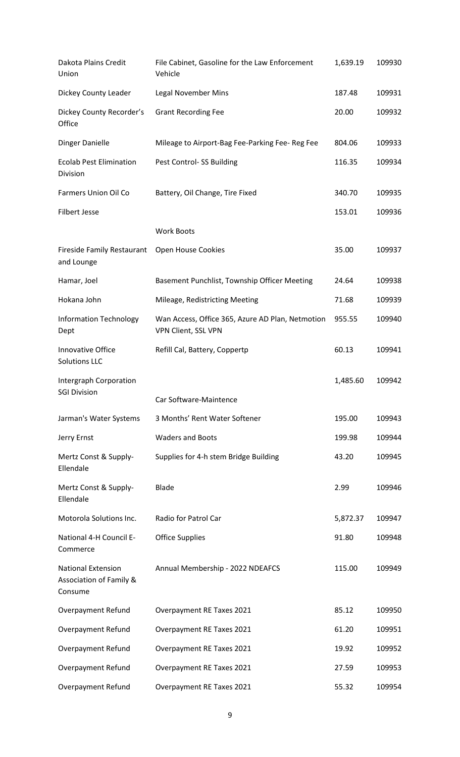| Dakota Plains Credit<br>Union                                   | File Cabinet, Gasoline for the Law Enforcement<br>Vehicle               | 1,639.19 | 109930 |
|-----------------------------------------------------------------|-------------------------------------------------------------------------|----------|--------|
| Dickey County Leader                                            | <b>Legal November Mins</b>                                              | 187.48   | 109931 |
| Dickey County Recorder's<br>Office                              | <b>Grant Recording Fee</b>                                              | 20.00    | 109932 |
| <b>Dinger Danielle</b>                                          | Mileage to Airport-Bag Fee-Parking Fee-Reg Fee                          | 804.06   | 109933 |
| <b>Ecolab Pest Elimination</b><br>Division                      | Pest Control-SS Building                                                | 116.35   | 109934 |
| Farmers Union Oil Co                                            | Battery, Oil Change, Tire Fixed                                         | 340.70   | 109935 |
| <b>Filbert Jesse</b>                                            |                                                                         | 153.01   | 109936 |
|                                                                 | <b>Work Boots</b>                                                       |          |        |
| <b>Fireside Family Restaurant</b><br>and Lounge                 | Open House Cookies                                                      | 35.00    | 109937 |
| Hamar, Joel                                                     | Basement Punchlist, Township Officer Meeting                            | 24.64    | 109938 |
| Hokana John                                                     | Mileage, Redistricting Meeting                                          | 71.68    | 109939 |
| <b>Information Technology</b><br>Dept                           | Wan Access, Office 365, Azure AD Plan, Netmotion<br>VPN Client, SSL VPN | 955.55   | 109940 |
| Innovative Office<br><b>Solutions LLC</b>                       | Refill Cal, Battery, Coppertp                                           | 60.13    | 109941 |
| Intergraph Corporation<br><b>SGI Division</b>                   | Car Software-Maintence                                                  | 1,485.60 | 109942 |
| Jarman's Water Systems                                          | 3 Months' Rent Water Softener                                           | 195.00   | 109943 |
| Jerry Ernst                                                     | <b>Waders and Boots</b>                                                 | 199.98   | 109944 |
| Mertz Const & Supply-<br>Ellendale                              | Supplies for 4-h stem Bridge Building                                   | 43.20    | 109945 |
| Mertz Const & Supply-<br>Ellendale                              | <b>Blade</b>                                                            | 2.99     | 109946 |
| Motorola Solutions Inc.                                         | Radio for Patrol Car                                                    | 5,872.37 | 109947 |
| National 4-H Council E-<br>Commerce                             | <b>Office Supplies</b>                                                  | 91.80    | 109948 |
| <b>National Extension</b><br>Association of Family &<br>Consume | Annual Membership - 2022 NDEAFCS                                        | 115.00   | 109949 |
| Overpayment Refund                                              | Overpayment RE Taxes 2021                                               | 85.12    | 109950 |
| Overpayment Refund                                              | Overpayment RE Taxes 2021                                               | 61.20    | 109951 |
| Overpayment Refund                                              | Overpayment RE Taxes 2021                                               | 19.92    | 109952 |
| <b>Overpayment Refund</b>                                       | Overpayment RE Taxes 2021                                               | 27.59    | 109953 |
| <b>Overpayment Refund</b>                                       | Overpayment RE Taxes 2021                                               | 55.32    | 109954 |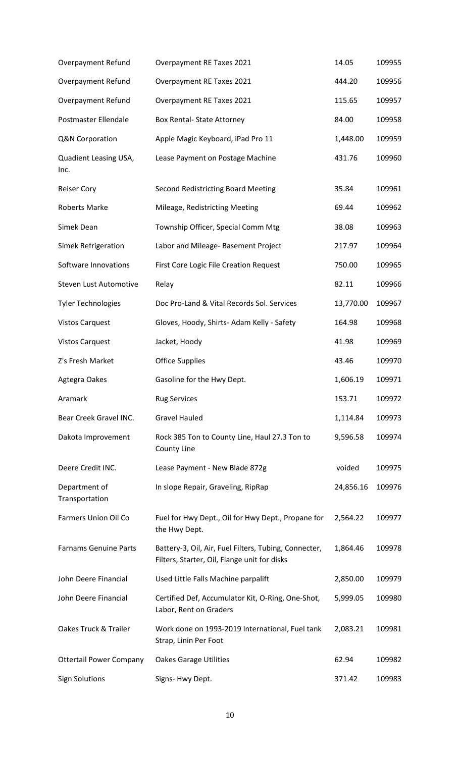| Overpayment Refund              | Overpayment RE Taxes 2021                                                                             | 14.05     | 109955 |
|---------------------------------|-------------------------------------------------------------------------------------------------------|-----------|--------|
| Overpayment Refund              | Overpayment RE Taxes 2021                                                                             | 444.20    | 109956 |
| Overpayment Refund              | Overpayment RE Taxes 2021                                                                             | 115.65    | 109957 |
| Postmaster Ellendale            | <b>Box Rental- State Attorney</b>                                                                     | 84.00     | 109958 |
| Q&N Corporation                 | Apple Magic Keyboard, iPad Pro 11                                                                     | 1,448.00  | 109959 |
| Quadient Leasing USA,<br>Inc.   | Lease Payment on Postage Machine                                                                      | 431.76    | 109960 |
| <b>Reiser Cory</b>              | <b>Second Redistricting Board Meeting</b>                                                             | 35.84     | 109961 |
| <b>Roberts Marke</b>            | Mileage, Redistricting Meeting                                                                        | 69.44     | 109962 |
| Simek Dean                      | Township Officer, Special Comm Mtg                                                                    | 38.08     | 109963 |
| Simek Refrigeration             | Labor and Mileage- Basement Project                                                                   | 217.97    | 109964 |
| Software Innovations            | <b>First Core Logic File Creation Request</b>                                                         | 750.00    | 109965 |
| Steven Lust Automotive          | Relay                                                                                                 | 82.11     | 109966 |
| <b>Tyler Technologies</b>       | Doc Pro-Land & Vital Records Sol. Services                                                            | 13,770.00 | 109967 |
| <b>Vistos Carquest</b>          | Gloves, Hoody, Shirts-Adam Kelly - Safety                                                             | 164.98    | 109968 |
| <b>Vistos Carquest</b>          | Jacket, Hoody                                                                                         | 41.98     | 109969 |
| Z's Fresh Market                | <b>Office Supplies</b>                                                                                | 43.46     | 109970 |
| Agtegra Oakes                   | Gasoline for the Hwy Dept.                                                                            | 1,606.19  | 109971 |
| Aramark                         | <b>Rug Services</b>                                                                                   | 153.71    | 109972 |
| Bear Creek Gravel INC.          | <b>Gravel Hauled</b>                                                                                  | 1,114.84  | 109973 |
| Dakota Improvement              | Rock 385 Ton to County Line, Haul 27.3 Ton to<br>County Line                                          | 9,596.58  | 109974 |
| Deere Credit INC.               | Lease Payment - New Blade 872g                                                                        | voided    | 109975 |
| Department of<br>Transportation | In slope Repair, Graveling, RipRap                                                                    | 24,856.16 | 109976 |
| Farmers Union Oil Co            | Fuel for Hwy Dept., Oil for Hwy Dept., Propane for<br>the Hwy Dept.                                   | 2,564.22  | 109977 |
| <b>Farnams Genuine Parts</b>    | Battery-3, Oil, Air, Fuel Filters, Tubing, Connecter,<br>Filters, Starter, Oil, Flange unit for disks | 1,864.46  | 109978 |
| John Deere Financial            | Used Little Falls Machine parpalift                                                                   | 2,850.00  | 109979 |
| John Deere Financial            | Certified Def, Accumulator Kit, O-Ring, One-Shot,<br>Labor, Rent on Graders                           | 5,999.05  | 109980 |
| Oakes Truck & Trailer           | Work done on 1993-2019 International, Fuel tank<br>Strap, Linin Per Foot                              | 2,083.21  | 109981 |
| <b>Ottertail Power Company</b>  | <b>Oakes Garage Utilities</b>                                                                         | 62.94     | 109982 |
| <b>Sign Solutions</b>           | Signs- Hwy Dept.                                                                                      | 371.42    | 109983 |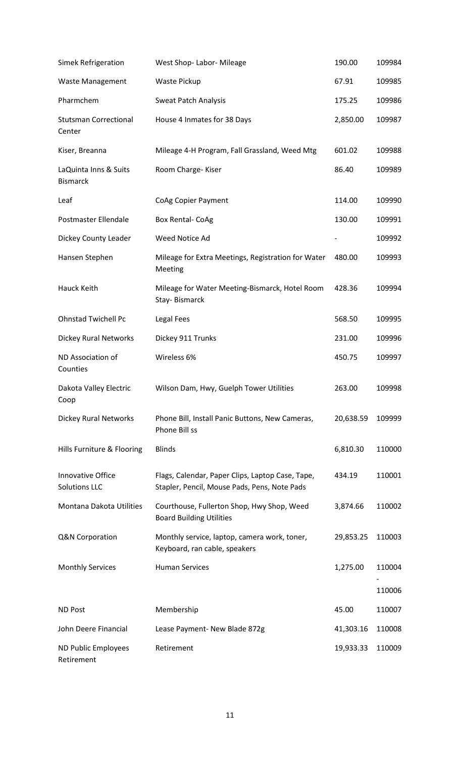| Simek Refrigeration                              | West Shop-Labor-Mileage                                                                          | 190.00    | 109984 |
|--------------------------------------------------|--------------------------------------------------------------------------------------------------|-----------|--------|
| <b>Waste Management</b>                          | Waste Pickup                                                                                     | 67.91     | 109985 |
| Pharmchem                                        | <b>Sweat Patch Analysis</b>                                                                      | 175.25    | 109986 |
| <b>Stutsman Correctional</b><br>Center           | House 4 Inmates for 38 Days                                                                      | 2,850.00  | 109987 |
| Kiser, Breanna                                   | Mileage 4-H Program, Fall Grassland, Weed Mtg                                                    | 601.02    | 109988 |
| LaQuinta Inns & Suits<br><b>Bismarck</b>         | Room Charge-Kiser                                                                                | 86.40     | 109989 |
| Leaf                                             | CoAg Copier Payment                                                                              | 114.00    | 109990 |
| Postmaster Ellendale                             | <b>Box Rental- CoAg</b>                                                                          | 130.00    | 109991 |
| Dickey County Leader                             | Weed Notice Ad                                                                                   |           | 109992 |
| Hansen Stephen                                   | Mileage for Extra Meetings, Registration for Water<br>Meeting                                    | 480.00    | 109993 |
| Hauck Keith                                      | Mileage for Water Meeting-Bismarck, Hotel Room<br>Stay-Bismarck                                  | 428.36    | 109994 |
| <b>Ohnstad Twichell Pc</b>                       | Legal Fees                                                                                       | 568.50    | 109995 |
| <b>Dickey Rural Networks</b>                     | Dickey 911 Trunks                                                                                | 231.00    | 109996 |
| ND Association of<br>Counties                    | Wireless 6%                                                                                      | 450.75    | 109997 |
| Dakota Valley Electric<br>Coop                   | Wilson Dam, Hwy, Guelph Tower Utilities                                                          | 263.00    | 109998 |
| <b>Dickey Rural Networks</b>                     | Phone Bill, Install Panic Buttons, New Cameras,<br>Phone Bill ss                                 | 20,638.59 | 109999 |
| Hills Furniture & Flooring                       | <b>Blinds</b>                                                                                    | 6,810.30  | 110000 |
| <b>Innovative Office</b><br><b>Solutions LLC</b> | Flags, Calendar, Paper Clips, Laptop Case, Tape,<br>Stapler, Pencil, Mouse Pads, Pens, Note Pads | 434.19    | 110001 |
| Montana Dakota Utilities                         | Courthouse, Fullerton Shop, Hwy Shop, Weed<br><b>Board Building Utilities</b>                    | 3,874.66  | 110002 |
| Q&N Corporation                                  | Monthly service, laptop, camera work, toner,<br>Keyboard, ran cable, speakers                    | 29,853.25 | 110003 |
| <b>Monthly Services</b>                          | <b>Human Services</b>                                                                            | 1,275.00  | 110004 |
|                                                  |                                                                                                  |           | 110006 |
| <b>ND Post</b>                                   | Membership                                                                                       | 45.00     | 110007 |
| John Deere Financial                             | Lease Payment- New Blade 872g                                                                    | 41,303.16 | 110008 |
| ND Public Employees<br>Retirement                | Retirement                                                                                       | 19,933.33 | 110009 |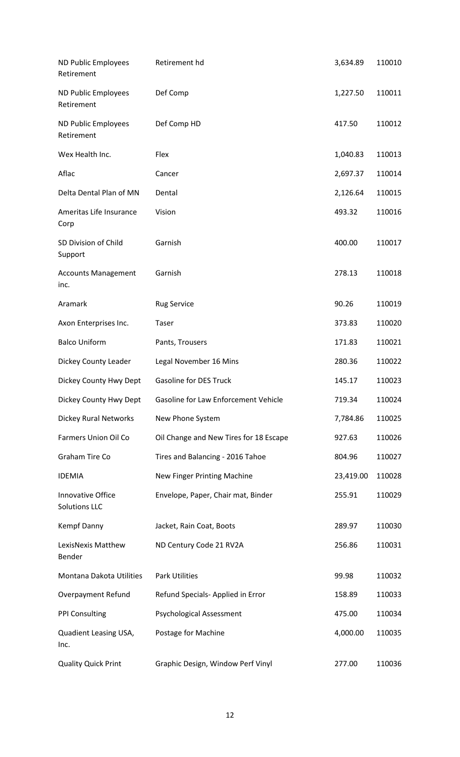| ND Public Employees<br>Retirement         | Retirement hd                          | 3,634.89  | 110010 |
|-------------------------------------------|----------------------------------------|-----------|--------|
| ND Public Employees<br>Retirement         | Def Comp                               | 1,227.50  | 110011 |
| ND Public Employees<br>Retirement         | Def Comp HD                            | 417.50    | 110012 |
| Wex Health Inc.                           | Flex                                   | 1,040.83  | 110013 |
| Aflac                                     | Cancer                                 | 2,697.37  | 110014 |
| Delta Dental Plan of MN                   | Dental                                 | 2,126.64  | 110015 |
| Ameritas Life Insurance<br>Corp           | Vision                                 | 493.32    | 110016 |
| SD Division of Child<br>Support           | Garnish                                | 400.00    | 110017 |
| <b>Accounts Management</b><br>inc.        | Garnish                                | 278.13    | 110018 |
| Aramark                                   | <b>Rug Service</b>                     | 90.26     | 110019 |
| Axon Enterprises Inc.                     | Taser                                  | 373.83    | 110020 |
| <b>Balco Uniform</b>                      | Pants, Trousers                        | 171.83    | 110021 |
| Dickey County Leader                      | Legal November 16 Mins                 | 280.36    | 110022 |
| Dickey County Hwy Dept                    | <b>Gasoline for DES Truck</b>          | 145.17    | 110023 |
| Dickey County Hwy Dept                    | Gasoline for Law Enforcement Vehicle   | 719.34    | 110024 |
| <b>Dickey Rural Networks</b>              | New Phone System                       | 7,784.86  | 110025 |
| <b>Farmers Union Oil Co</b>               | Oil Change and New Tires for 18 Escape | 927.63    | 110026 |
| Graham Tire Co                            | Tires and Balancing - 2016 Tahoe       | 804.96    | 110027 |
| <b>IDEMIA</b>                             | New Finger Printing Machine            | 23,419.00 | 110028 |
| Innovative Office<br><b>Solutions LLC</b> | Envelope, Paper, Chair mat, Binder     | 255.91    | 110029 |
| Kempf Danny                               | Jacket, Rain Coat, Boots               | 289.97    | 110030 |
| LexisNexis Matthew<br>Bender              | ND Century Code 21 RV2A                | 256.86    | 110031 |
| Montana Dakota Utilities                  | <b>Park Utilities</b>                  | 99.98     | 110032 |
| <b>Overpayment Refund</b>                 | Refund Specials- Applied in Error      | 158.89    | 110033 |
| <b>PPI Consulting</b>                     | <b>Psychological Assessment</b>        | 475.00    | 110034 |
| Quadient Leasing USA,<br>Inc.             | Postage for Machine                    | 4,000.00  | 110035 |
| <b>Quality Quick Print</b>                | Graphic Design, Window Perf Vinyl      | 277.00    | 110036 |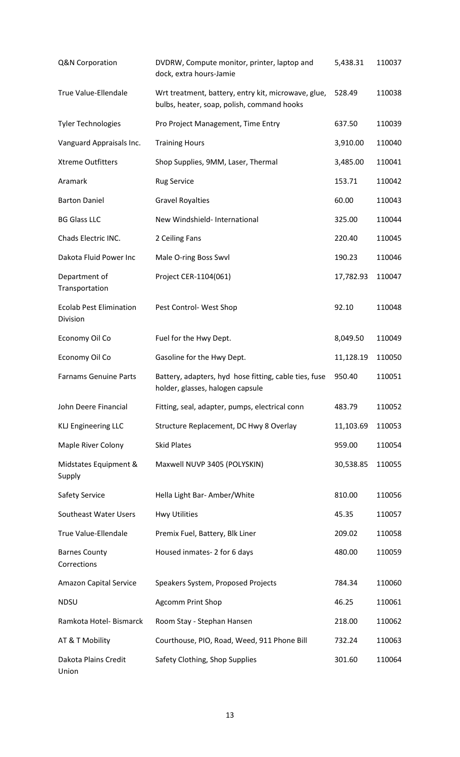| Q&N Corporation                            | DVDRW, Compute monitor, printer, laptop and<br>dock, extra hours-Jamie                            | 5,438.31  | 110037 |
|--------------------------------------------|---------------------------------------------------------------------------------------------------|-----------|--------|
| True Value-Ellendale                       | Wrt treatment, battery, entry kit, microwave, glue,<br>bulbs, heater, soap, polish, command hooks | 528.49    | 110038 |
| <b>Tyler Technologies</b>                  | Pro Project Management, Time Entry                                                                | 637.50    | 110039 |
| Vanguard Appraisals Inc.                   | <b>Training Hours</b>                                                                             | 3,910.00  | 110040 |
| <b>Xtreme Outfitters</b>                   | Shop Supplies, 9MM, Laser, Thermal                                                                | 3,485.00  | 110041 |
| Aramark                                    | <b>Rug Service</b>                                                                                | 153.71    | 110042 |
| <b>Barton Daniel</b>                       | <b>Gravel Royalties</b>                                                                           | 60.00     | 110043 |
| <b>BG Glass LLC</b>                        | New Windshield- International                                                                     | 325.00    | 110044 |
| Chads Electric INC.                        | 2 Ceiling Fans                                                                                    | 220.40    | 110045 |
| Dakota Fluid Power Inc                     | Male O-ring Boss Swvl                                                                             | 190.23    | 110046 |
| Department of<br>Transportation            | Project CER-1104(061)                                                                             | 17,782.93 | 110047 |
| <b>Ecolab Pest Elimination</b><br>Division | Pest Control-West Shop                                                                            | 92.10     | 110048 |
| Economy Oil Co                             | Fuel for the Hwy Dept.                                                                            | 8,049.50  | 110049 |
| Economy Oil Co                             | Gasoline for the Hwy Dept.                                                                        | 11,128.19 | 110050 |
| <b>Farnams Genuine Parts</b>               | Battery, adapters, hyd hose fitting, cable ties, fuse<br>holder, glasses, halogen capsule         | 950.40    | 110051 |
| John Deere Financial                       | Fitting, seal, adapter, pumps, electrical conn                                                    | 483.79    | 110052 |
| <b>KLJ Engineering LLC</b>                 | Structure Replacement, DC Hwy 8 Overlay                                                           | 11,103.69 | 110053 |
| Maple River Colony                         | <b>Skid Plates</b>                                                                                | 959.00    | 110054 |
| Midstates Equipment &<br>Supply            | Maxwell NUVP 3405 (POLYSKIN)                                                                      | 30,538.85 | 110055 |
| <b>Safety Service</b>                      | Hella Light Bar- Amber/White                                                                      | 810.00    | 110056 |
| Southeast Water Users                      | <b>Hwy Utilities</b>                                                                              | 45.35     | 110057 |
| True Value-Ellendale                       | Premix Fuel, Battery, Blk Liner                                                                   | 209.02    | 110058 |
| <b>Barnes County</b><br>Corrections        | Housed inmates-2 for 6 days                                                                       | 480.00    | 110059 |
| Amazon Capital Service                     | Speakers System, Proposed Projects                                                                | 784.34    | 110060 |
| <b>NDSU</b>                                | <b>Agcomm Print Shop</b>                                                                          | 46.25     | 110061 |
| Ramkota Hotel- Bismarck                    | Room Stay - Stephan Hansen                                                                        | 218.00    | 110062 |
| AT & T Mobility                            | Courthouse, PIO, Road, Weed, 911 Phone Bill                                                       | 732.24    | 110063 |
| Dakota Plains Credit<br>Union              | Safety Clothing, Shop Supplies                                                                    | 301.60    | 110064 |